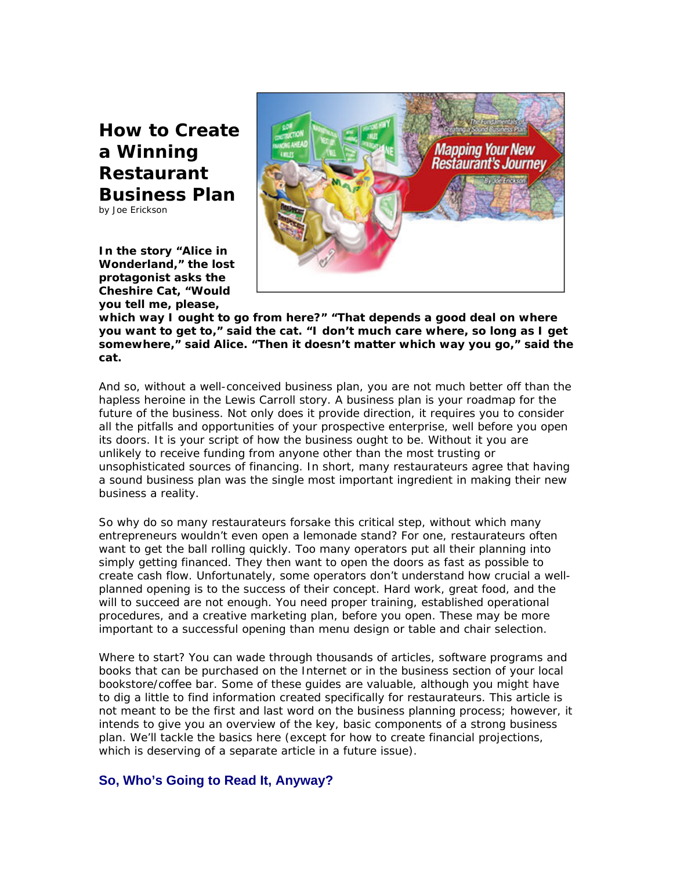**How to Create a Winning Restaurant Business Plan** 

by Joe Erickson

**In the story "Alice in Wonderland," the lost protagonist asks the Cheshire Cat, "Would you tell me, please,** 



**which way I ought to go from here?" "That depends a good deal on where you want to get to," said the cat. "I don't much care where, so long as I get somewhere," said Alice. "Then it doesn't matter which way you go," said the cat.** 

And so, without a well-conceived business plan, you are not much better off than the hapless heroine in the Lewis Carroll story. A business plan is your roadmap for the future of the business. Not only does it provide direction, it requires you to consider all the pitfalls and opportunities of your prospective enterprise, well before you open its doors. It is your script of how the business ought to be. Without it you are unlikely to receive funding from anyone other than the most trusting or unsophisticated sources of financing. In short, many restaurateurs agree that having a sound business plan was the single most important ingredient in making their new business a reality.

So why do so many restaurateurs forsake this critical step, without which many entrepreneurs wouldn't even open a lemonade stand? For one, restaurateurs often want to get the ball rolling quickly. Too many operators put all their planning into simply getting financed. They then want to open the doors as fast as possible to create cash flow. Unfortunately, some operators don't understand how crucial a wellplanned opening is to the success of their concept. Hard work, great food, and the will to succeed are not enough. You need proper training, established operational procedures, and a creative marketing plan, before you open. These may be more important to a successful opening than menu design or table and chair selection.

Where to start? You can wade through thousands of articles, software programs and books that can be purchased on the Internet or in the business section of your local bookstore/coffee bar. Some of these guides are valuable, although you might have to dig a little to find information created specifically for restaurateurs. This article is not meant to be the first and last word on the business planning process; however, it intends to give you an overview of the key, basic components of a strong business plan. We'll tackle the basics here (except for how to create financial projections, which is deserving of a separate article in a future issue).

# **So, Who's Going to Read It, Anyway?**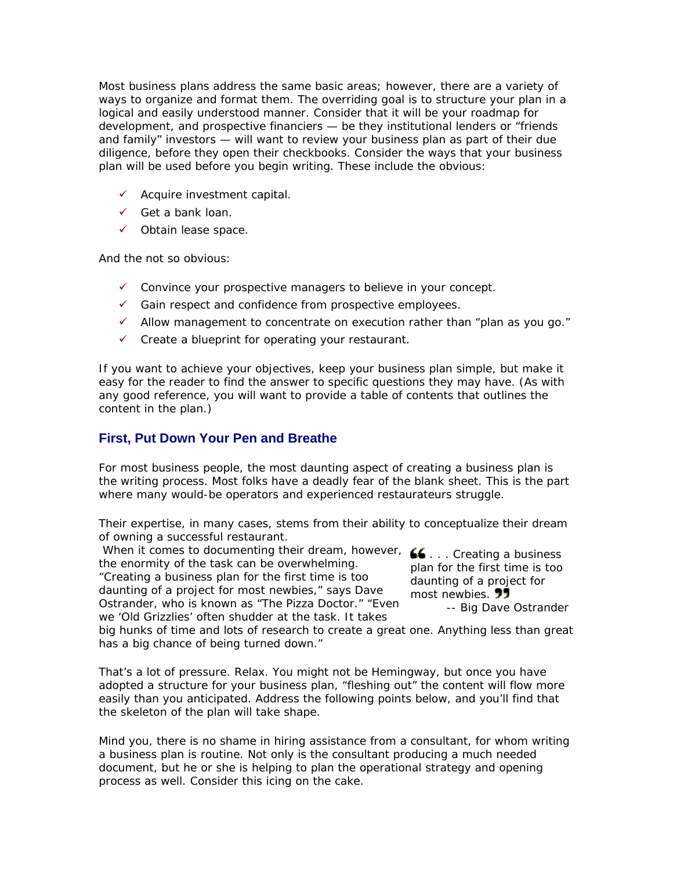Most business plans address the same basic areas; however, there are a variety of ways to organize and format them. The overriding goal is to structure your plan in a logical and easily understood manner. Consider that it will be your roadmap for development, and prospective financiers — be they institutional lenders or "friends and family" investors — will want to review your business plan as part of their due diligence, before they open their checkbooks. Consider the ways that your business plan will be used before you begin writing. These include the obvious:

- $\checkmark$  Acquire investment capital.
- $\checkmark$  Get a bank loan.
- $\checkmark$  Obtain lease space.

And the not so obvious:

- $\checkmark$  Convince your prospective managers to believe in your concept.
- $\checkmark$  Gain respect and confidence from prospective employees.
- $\checkmark$  Allow management to concentrate on execution rather than "plan as you go."
- $\checkmark$  Create a blueprint for operating your restaurant.

If you want to achieve your objectives, keep your business plan simple, but make it easy for the reader to find the answer to specific questions they may have. (As with any good reference, you will want to provide a table of contents that outlines the content in the plan.)

## **First, Put Down Your Pen and Breathe**

For most business people, the most daunting aspect of creating a business plan is the writing process. Most folks have a deadly fear of the blank sheet. This is the part where many would-be operators and experienced restaurateurs struggle.

Their expertise, in many cases, stems from their ability to conceptualize their dream of owning a successful restaurant.

When it comes to documenting their dream, however,  $\bullet \bullet \dots$  Creating a business the enormity of the task can be overwhelming. "Creating a business plan for the first time is too daunting of a project for most newbies," says Dave Ostrander, who is known as "The Pizza Doctor." "Even we 'Old Grizzlies' often shudder at the task. It takes

plan for the first time is too daunting of a project for most newbies. **77** 

*-- Big Dave Ostrander*

big hunks of time and lots of research to create a great one. Anything less than great has a big chance of being turned down."

That's a lot of pressure. Relax. You might not be Hemingway, but once you have adopted a structure for your business plan, "fleshing out" the content will flow more easily than you anticipated. Address the following points below, and you'll find that the skeleton of the plan will take shape.

Mind you, there is no shame in hiring assistance from a consultant, for whom writing a business plan is routine. Not only is the consultant producing a much needed document, but he or she is helping to plan the operational strategy and opening process as well. Consider this icing on the cake.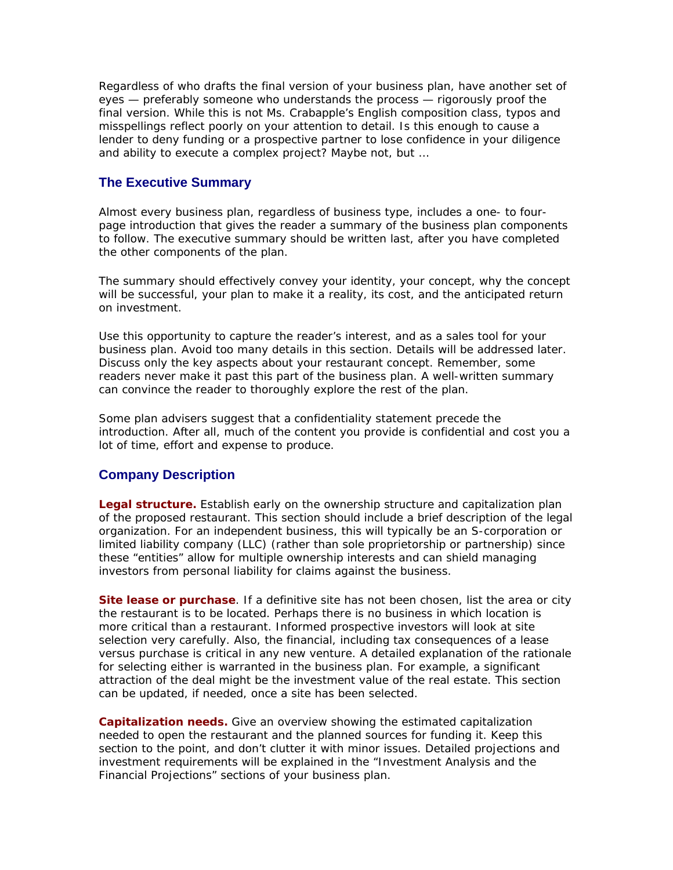Regardless of who drafts the final version of your business plan, have another set of eyes — preferably someone who understands the process — rigorously proof the final version. While this is not Ms. Crabapple's English composition class, typos and misspellings reflect poorly on your attention to detail. Is this enough to cause a lender to deny funding or a prospective partner to lose confidence in your diligence and ability to execute a complex project? Maybe not, but …

## **The Executive Summary**

Almost every business plan, regardless of business type, includes a one- to fourpage introduction that gives the reader a summary of the business plan components to follow. The executive summary should be written last, after you have completed the other components of the plan.

The summary should effectively convey your identity, your concept, why the concept will be successful, your plan to make it a reality, its cost, and the anticipated return on investment.

Use this opportunity to capture the reader's interest, and as a sales tool for your business plan. Avoid too many details in this section. Details will be addressed later. Discuss only the key aspects about your restaurant concept. Remember, some readers never make it past this part of the business plan. A well-written summary can convince the reader to thoroughly explore the rest of the plan.

Some plan advisers suggest that a confidentiality statement precede the introduction. After all, much of the content you provide is confidential and cost you a lot of time, effort and expense to produce.

## **Company Description**

**Legal structure.** Establish early on the ownership structure and capitalization plan of the proposed restaurant. This section should include a brief description of the legal organization. For an independent business, this will typically be an S-corporation or limited liability company (LLC) (rather than sole proprietorship or partnership) since these "entities" allow for multiple ownership interests and can shield managing investors from personal liability for claims against the business.

**Site lease or purchase**. If a definitive site has not been chosen, list the area or city the restaurant is to be located. Perhaps there is no business in which location is more critical than a restaurant. Informed prospective investors will look at site selection very carefully. Also, the financial, including tax consequences of a lease versus purchase is critical in any new venture. A detailed explanation of the rationale for selecting either is warranted in the business plan. For example, a significant attraction of the deal might be the investment value of the real estate. This section can be updated, if needed, once a site has been selected.

**Capitalization needs.** Give an overview showing the estimated capitalization needed to open the restaurant and the planned sources for funding it. Keep this section to the point, and don't clutter it with minor issues. Detailed projections and investment requirements will be explained in the "Investment Analysis and the Financial Projections" sections of your business plan.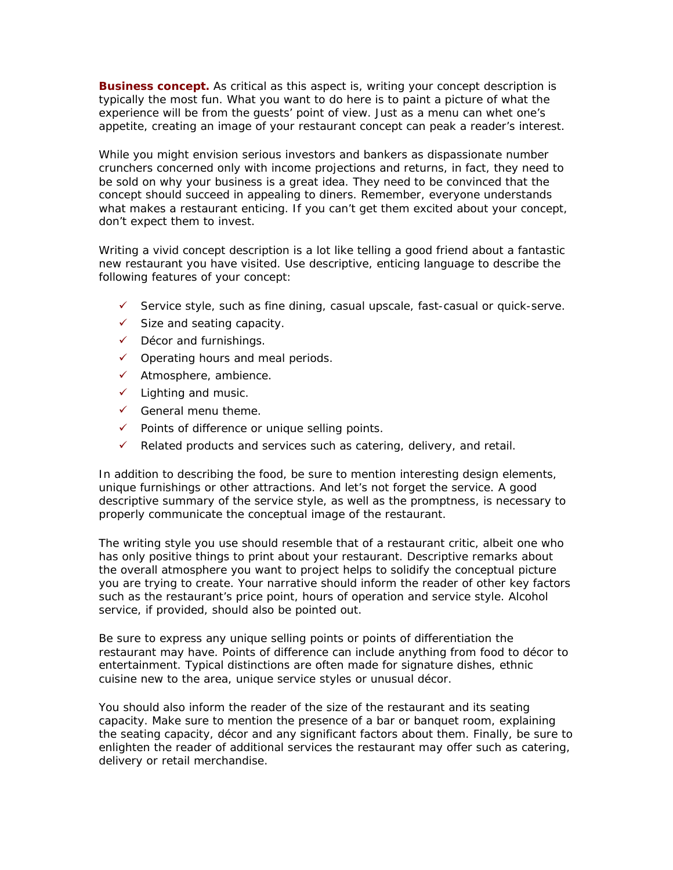**Business concept.** As critical as this aspect is, writing your concept description is typically the most fun. What you want to do here is to paint a picture of what the experience will be from the guests' point of view. Just as a menu can whet one's appetite, creating an image of your restaurant concept can peak a reader's interest.

While you might envision serious investors and bankers as dispassionate number crunchers concerned only with income projections and returns, in fact, they need to be sold on why your business is a great idea. They need to be convinced that the concept should succeed in appealing to diners. Remember, everyone understands what makes a restaurant enticing. If you can't get them excited about your concept, don't expect them to invest.

Writing a vivid concept description is a lot like telling a good friend about a fantastic new restaurant you have visited. Use descriptive, enticing language to describe the following features of your concept:

- $\checkmark$  Service style, such as fine dining, casual upscale, fast-casual or quick-serve.
- $\checkmark$  Size and seating capacity.
- $\checkmark$  Décor and furnishings.
- $\checkmark$  Operating hours and meal periods.
- $\checkmark$  Atmosphere, ambience.
- $\checkmark$  Lighting and music.
- $\checkmark$  General menu theme.
- $\checkmark$  Points of difference or unique selling points.
- $\checkmark$  Related products and services such as catering, delivery, and retail.

In addition to describing the food, be sure to mention interesting design elements, unique furnishings or other attractions. And let's not forget the service. A good descriptive summary of the service style, as well as the promptness, is necessary to properly communicate the conceptual image of the restaurant.

The writing style you use should resemble that of a restaurant critic, albeit one who has only positive things to print about your restaurant. Descriptive remarks about the overall atmosphere you want to project helps to solidify the conceptual picture you are trying to create. Your narrative should inform the reader of other key factors such as the restaurant's price point, hours of operation and service style. Alcohol service, if provided, should also be pointed out.

Be sure to express any unique selling points or points of differentiation the restaurant may have. Points of difference can include anything from food to décor to entertainment. Typical distinctions are often made for signature dishes, ethnic cuisine new to the area, unique service styles or unusual décor.

You should also inform the reader of the size of the restaurant and its seating capacity. Make sure to mention the presence of a bar or banquet room, explaining the seating capacity, décor and any significant factors about them. Finally, be sure to enlighten the reader of additional services the restaurant may offer such as catering, delivery or retail merchandise.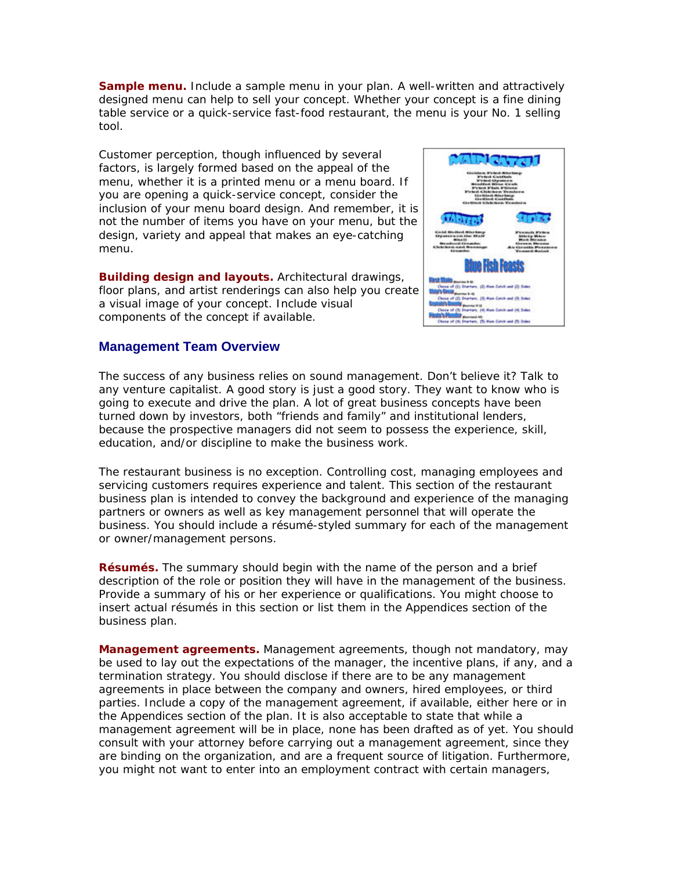**Sample menu.** Include a sample menu in your plan. A well-written and attractively designed menu can help to sell your concept. Whether your concept is a fine dining table service or a quick-service fast-food restaurant, the menu is your No. 1 selling tool.

Customer perception, though influenced by several factors, is largely formed based on the appeal of the menu, whether it is a printed menu or a menu board. If you are opening a quick-service concept, consider the inclusion of your menu board design. And remember, it is not the number of items you have on your menu, but the design, variety and appeal that makes an eye-catching menu.

**Building design and layouts.** Architectural drawings, floor plans, and artist renderings can also help you create a visual image of your concept. Include visual components of the concept if available.

#### **Management Team Overview**

The success of any business relies on sound management. Don't believe it? Talk to any venture capitalist. A good story is just a good story. They want to know who is going to execute and drive the plan. A lot of great business concepts have been turned down by investors, both "friends and family" and institutional lenders, because the prospective managers did not seem to possess the experience, skill, education, and/or discipline to make the business work.

The restaurant business is no exception. Controlling cost, managing employees and servicing customers requires experience and talent. This section of the restaurant business plan is intended to convey the background and experience of the managing partners or owners as well as key management personnel that will operate the business. You should include a résumé-styled summary for each of the management or owner/management persons.

**Résumés.** The summary should begin with the name of the person and a brief description of the role or position they will have in the management of the business. Provide a summary of his or her experience or qualifications. You might choose to insert actual résumés in this section or list them in the Appendices section of the business plan.

**Management agreements.** Management agreements, though not mandatory, may be used to lay out the expectations of the manager, the incentive plans, if any, and a termination strategy. You should disclose if there are to be any management agreements in place between the company and owners, hired employees, or third parties. Include a copy of the management agreement, if available, either here or in the Appendices section of the plan. It is also acceptable to state that while a management agreement will be in place, none has been drafted as of yet. You should consult with your attorney before carrying out a management agreement, since they are binding on the organization, and are a frequent source of litigation. Furthermore, you might not want to enter into an employment contract with certain managers,

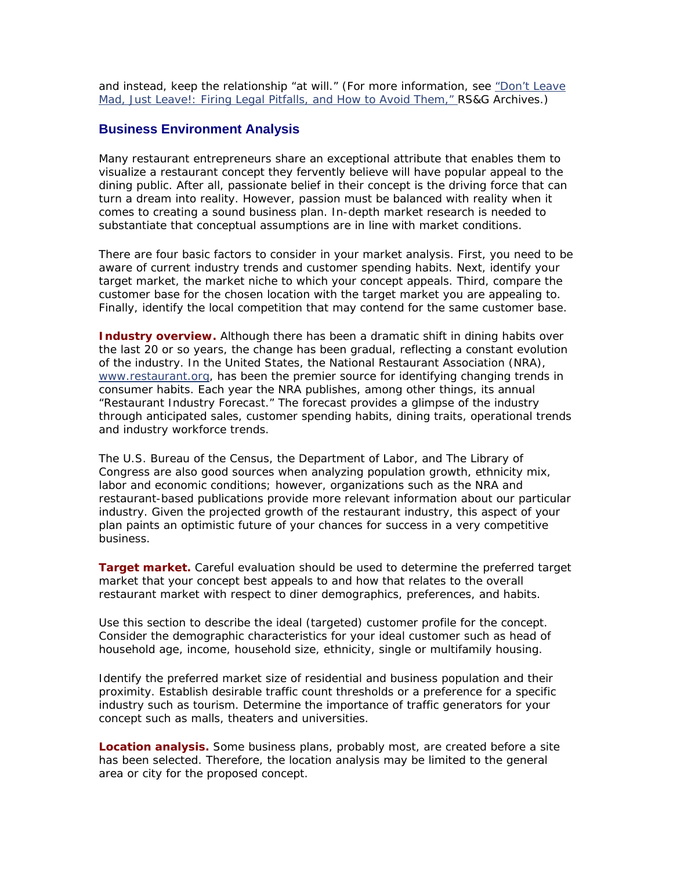and instead, keep the relationship "at will." (For more information, see "Don't Leave Mad, Just Leave!: Firing Legal Pitfalls, and How to Avoid Them," RS&G Archives.)

### **Business Environment Analysis**

Many restaurant entrepreneurs share an exceptional attribute that enables them to visualize a restaurant concept they fervently believe will have popular appeal to the dining public. After all, passionate belief in their concept is the driving force that can turn a dream into reality. However, passion must be balanced with reality when it comes to creating a sound business plan. In-depth market research is needed to substantiate that conceptual assumptions are in line with market conditions.

There are four basic factors to consider in your market analysis. First, you need to be aware of current industry trends and customer spending habits. Next, identify your target market, the market niche to which your concept appeals. Third, compare the customer base for the chosen location with the target market you are appealing to. Finally, identify the local competition that may contend for the same customer base.

**Industry overview.** Although there has been a dramatic shift in dining habits over the last 20 or so years, the change has been gradual, reflecting a constant evolution of the industry. In the United States, the National Restaurant Association (NRA), www.restaurant.org, has been the premier source for identifying changing trends in consumer habits. Each year the NRA publishes, among other things, its annual "Restaurant Industry Forecast." The forecast provides a glimpse of the industry through anticipated sales, customer spending habits, dining traits, operational trends and industry workforce trends.

The U.S. Bureau of the Census, the Department of Labor, and The Library of Congress are also good sources when analyzing population growth, ethnicity mix, labor and economic conditions; however, organizations such as the NRA and restaurant-based publications provide more relevant information about our particular industry. Given the projected growth of the restaurant industry, this aspect of your plan paints an optimistic future of your chances for success in a very competitive business.

**Target market.** Careful evaluation should be used to determine the preferred target market that your concept best appeals to and how that relates to the overall restaurant market with respect to diner demographics, preferences, and habits.

Use this section to describe the ideal (targeted) customer profile for the concept. Consider the demographic characteristics for your ideal customer such as head of household age, income, household size, ethnicity, single or multifamily housing.

Identify the preferred market size of residential and business population and their proximity. Establish desirable traffic count thresholds or a preference for a specific industry such as tourism. Determine the importance of traffic generators for your concept such as malls, theaters and universities.

**Location analysis.** Some business plans, probably most, are created before a site has been selected. Therefore, the location analysis may be limited to the general area or city for the proposed concept.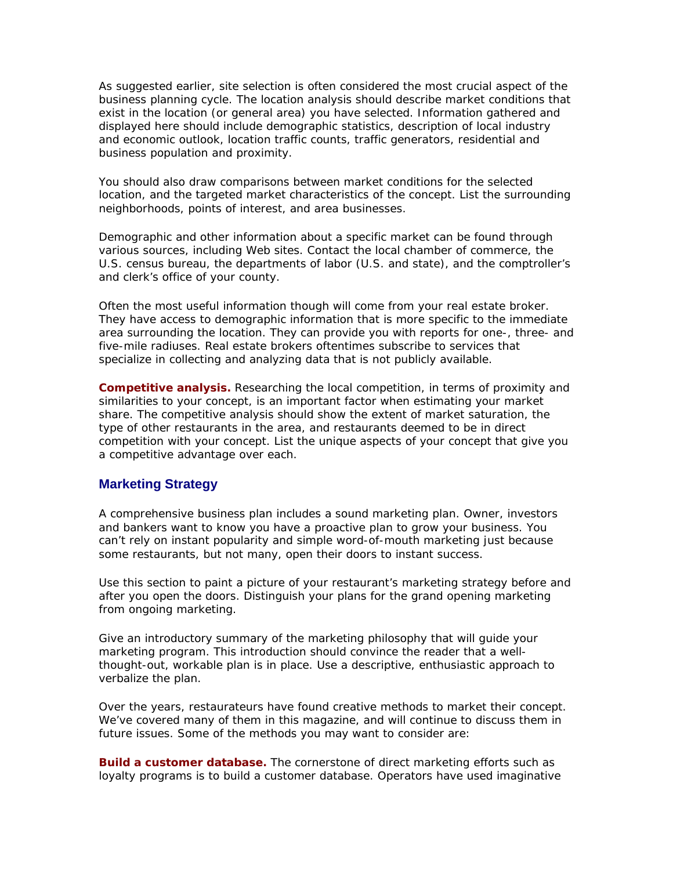As suggested earlier, site selection is often considered the most crucial aspect of the business planning cycle. The location analysis should describe market conditions that exist in the location (or general area) you have selected. Information gathered and displayed here should include demographic statistics, description of local industry and economic outlook, location traffic counts, traffic generators, residential and business population and proximity.

You should also draw comparisons between market conditions for the selected location, and the targeted market characteristics of the concept. List the surrounding neighborhoods, points of interest, and area businesses.

Demographic and other information about a specific market can be found through various sources, including Web sites. Contact the local chamber of commerce, the U.S. census bureau, the departments of labor (U.S. and state), and the comptroller's and clerk's office of your county.

Often the most useful information though will come from your real estate broker. They have access to demographic information that is more specific to the immediate area surrounding the location. They can provide you with reports for one-, three- and five-mile radiuses. Real estate brokers oftentimes subscribe to services that specialize in collecting and analyzing data that is not publicly available.

**Competitive analysis.** Researching the local competition, in terms of proximity and similarities to your concept, is an important factor when estimating your market share. The competitive analysis should show the extent of market saturation, the type of other restaurants in the area, and restaurants deemed to be in direct competition with your concept. List the unique aspects of your concept that give you a competitive advantage over each.

#### **Marketing Strategy**

A comprehensive business plan includes a sound marketing plan. Owner, investors and bankers want to know you have a proactive plan to grow your business. You can't rely on instant popularity and simple word-of-mouth marketing just because some restaurants, but not many, open their doors to instant success.

Use this section to paint a picture of your restaurant's marketing strategy before and after you open the doors. Distinguish your plans for the grand opening marketing from ongoing marketing.

Give an introductory summary of the marketing philosophy that will guide your marketing program. This introduction should convince the reader that a wellthought-out, workable plan is in place. Use a descriptive, enthusiastic approach to verbalize the plan.

Over the years, restaurateurs have found creative methods to market their concept. We've covered many of them in this magazine, and will continue to discuss them in future issues. Some of the methods you may want to consider are:

**Build a customer database.** The cornerstone of direct marketing efforts such as loyalty programs is to build a customer database. Operators have used imaginative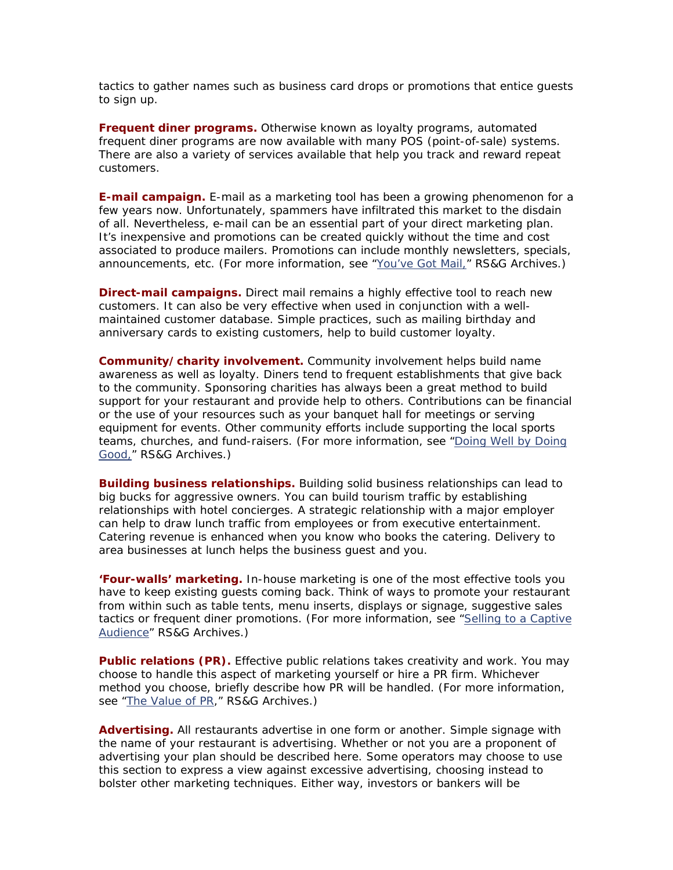tactics to gather names such as business card drops or promotions that entice guests to sign up.

**Frequent diner programs.** Otherwise known as loyalty programs, automated frequent diner programs are now available with many POS (point-of-sale) systems. There are also a variety of services available that help you track and reward repeat customers.

**E-mail campaign.** E-mail as a marketing tool has been a growing phenomenon for a few years now. Unfortunately, spammers have infiltrated this market to the disdain of all. Nevertheless, e-mail can be an essential part of your direct marketing plan. It's inexpensive and promotions can be created quickly without the time and cost associated to produce mailers. Promotions can include monthly newsletters, specials, announcements, etc. (For more information, see "You've Got Mail," RS&G Archives.)

**Direct-mail campaigns.** Direct mail remains a highly effective tool to reach new customers. It can also be very effective when used in conjunction with a wellmaintained customer database. Simple practices, such as mailing birthday and anniversary cards to existing customers, help to build customer loyalty.

**Community/charity involvement.** Community involvement helps build name awareness as well as loyalty. Diners tend to frequent establishments that give back to the community. Sponsoring charities has always been a great method to build support for your restaurant and provide help to others. Contributions can be financial or the use of your resources such as your banquet hall for meetings or serving equipment for events. Other community efforts include supporting the local sports teams, churches, and fund-raisers. (For more information, see "Doing Well by Doing Good," RS&G Archives.)

**Building business relationships.** Building solid business relationships can lead to big bucks for aggressive owners. You can build tourism traffic by establishing relationships with hotel concierges. A strategic relationship with a major employer can help to draw lunch traffic from employees or from executive entertainment. Catering revenue is enhanced when you know who books the catering. Delivery to area businesses at lunch helps the business guest and you.

**'Four-walls' marketing.** In-house marketing is one of the most effective tools you have to keep existing guests coming back. Think of ways to promote your restaurant from within such as table tents, menu inserts, displays or signage, suggestive sales tactics or frequent diner promotions. (For more information, see "Selling to a Captive Audience" RS&G Archives.)

**Public relations (PR).** Effective public relations takes creativity and work. You may choose to handle this aspect of marketing yourself or hire a PR firm. Whichever method you choose, briefly describe how PR will be handled. (For more information, see "The Value of PR," RS&G Archives.)

**Advertising.** All restaurants advertise in one form or another. Simple signage with the name of your restaurant is advertising. Whether or not you are a proponent of advertising your plan should be described here. Some operators may choose to use this section to express a view against excessive advertising, choosing instead to bolster other marketing techniques. Either way, investors or bankers will be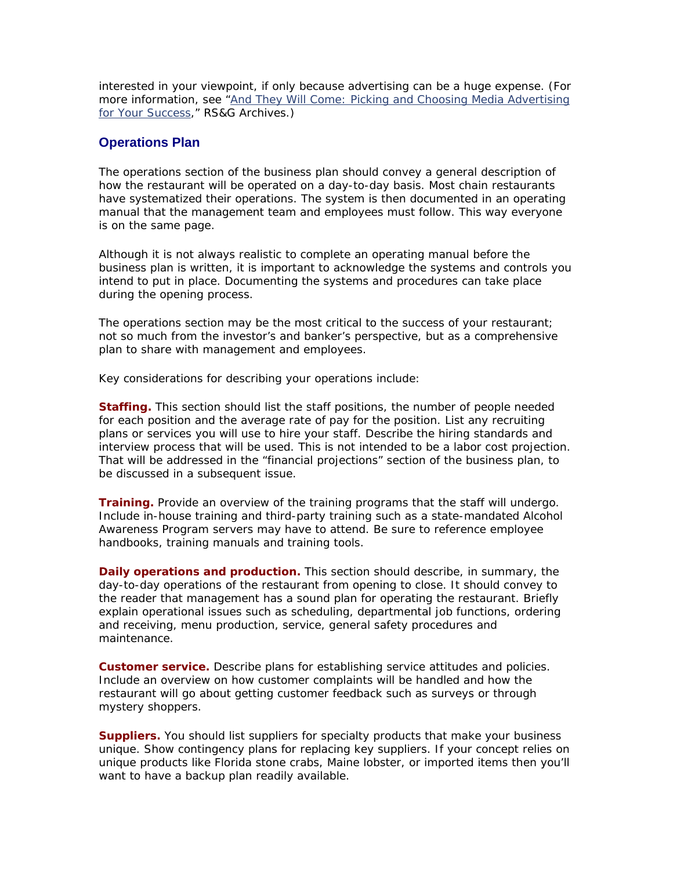interested in your viewpoint, if only because advertising can be a huge expense. (For more information, see "And They Will Come: Picking and Choosing Media Advertising for Your Success," RS&G Archives.)

### **Operations Plan**

The operations section of the business plan should convey a general description of how the restaurant will be operated on a day-to-day basis. Most chain restaurants have systematized their operations. The system is then documented in an operating manual that the management team and employees must follow. This way everyone is on the same page.

Although it is not always realistic to complete an operating manual before the business plan is written, it is important to acknowledge the systems and controls you intend to put in place. Documenting the systems and procedures can take place during the opening process.

The operations section may be the most critical to the success of your restaurant; not so much from the investor's and banker's perspective, but as a comprehensive plan to share with management and employees.

Key considerations for describing your operations include:

**Staffing.** This section should list the staff positions, the number of people needed for each position and the average rate of pay for the position. List any recruiting plans or services you will use to hire your staff. Describe the hiring standards and interview process that will be used. This is not intended to be a labor cost projection. That will be addressed in the "financial projections" section of the business plan, to be discussed in a subsequent issue.

**Training.** Provide an overview of the training programs that the staff will undergo. Include in-house training and third-party training such as a state-mandated Alcohol Awareness Program servers may have to attend. Be sure to reference employee handbooks, training manuals and training tools.

**Daily operations and production.** This section should describe, in summary, the day-to-day operations of the restaurant from opening to close. It should convey to the reader that management has a sound plan for operating the restaurant. Briefly explain operational issues such as scheduling, departmental job functions, ordering and receiving, menu production, service, general safety procedures and maintenance.

**Customer service.** Describe plans for establishing service attitudes and policies. Include an overview on how customer complaints will be handled and how the restaurant will go about getting customer feedback such as surveys or through mystery shoppers.

**Suppliers.** You should list suppliers for specialty products that make your business unique. Show contingency plans for replacing key suppliers. If your concept relies on unique products like Florida stone crabs, Maine lobster, or imported items then you'll want to have a backup plan readily available.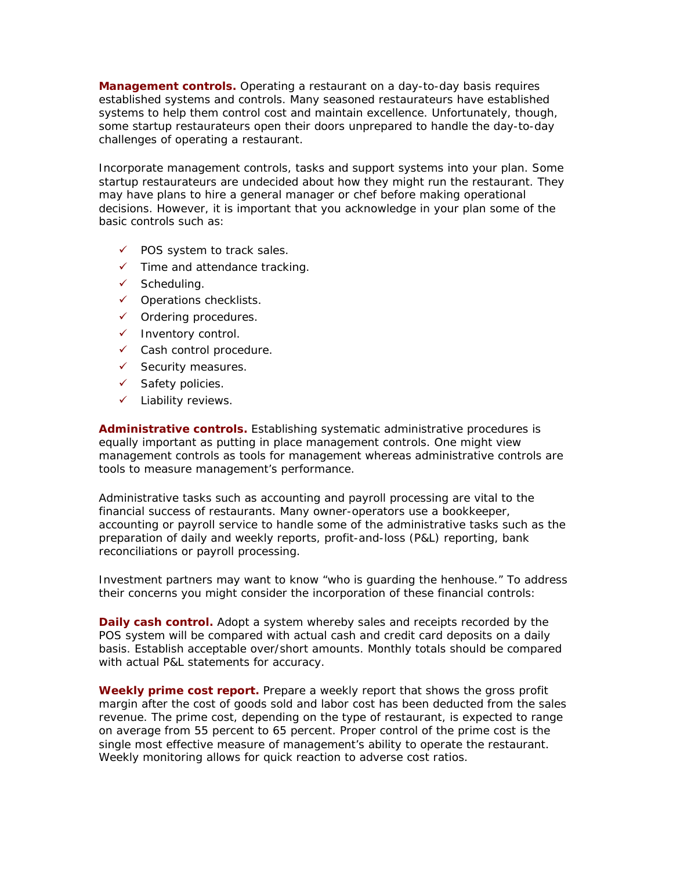**Management controls.** Operating a restaurant on a day-to-day basis requires established systems and controls. Many seasoned restaurateurs have established systems to help them control cost and maintain excellence. Unfortunately, though, some startup restaurateurs open their doors unprepared to handle the day-to-day challenges of operating a restaurant.

Incorporate management controls, tasks and support systems into your plan. Some startup restaurateurs are undecided about how they might run the restaurant. They may have plans to hire a general manager or chef before making operational decisions. However, it is important that you acknowledge in your plan some of the basic controls such as:

- $\checkmark$  POS system to track sales.
- $\checkmark$  Time and attendance tracking.
- $\checkmark$  Scheduling.
- $\checkmark$  Operations checklists.
- $\checkmark$  Ordering procedures.
- $\checkmark$  Inventory control.
- $\checkmark$  Cash control procedure.
- $\checkmark$  Security measures.
- $\checkmark$  Safety policies.
- $\checkmark$  Liability reviews.

**Administrative controls.** Establishing systematic administrative procedures is equally important as putting in place management controls. One might view management controls as tools for management whereas administrative controls are tools to measure management's performance.

Administrative tasks such as accounting and payroll processing are vital to the financial success of restaurants. Many owner-operators use a bookkeeper, accounting or payroll service to handle some of the administrative tasks such as the preparation of daily and weekly reports, profit-and-loss (P&L) reporting, bank reconciliations or payroll processing.

Investment partners may want to know "who is guarding the henhouse." To address their concerns you might consider the incorporation of these financial controls:

**Daily cash control.** Adopt a system whereby sales and receipts recorded by the POS system will be compared with actual cash and credit card deposits on a daily basis. Establish acceptable over/short amounts. Monthly totals should be compared with actual P&L statements for accuracy.

**Weekly prime cost report.** Prepare a weekly report that shows the gross profit margin after the cost of goods sold and labor cost has been deducted from the sales revenue. The prime cost, depending on the type of restaurant, is expected to range on average from 55 percent to 65 percent. Proper control of the prime cost is the single most effective measure of management's ability to operate the restaurant. Weekly monitoring allows for quick reaction to adverse cost ratios.